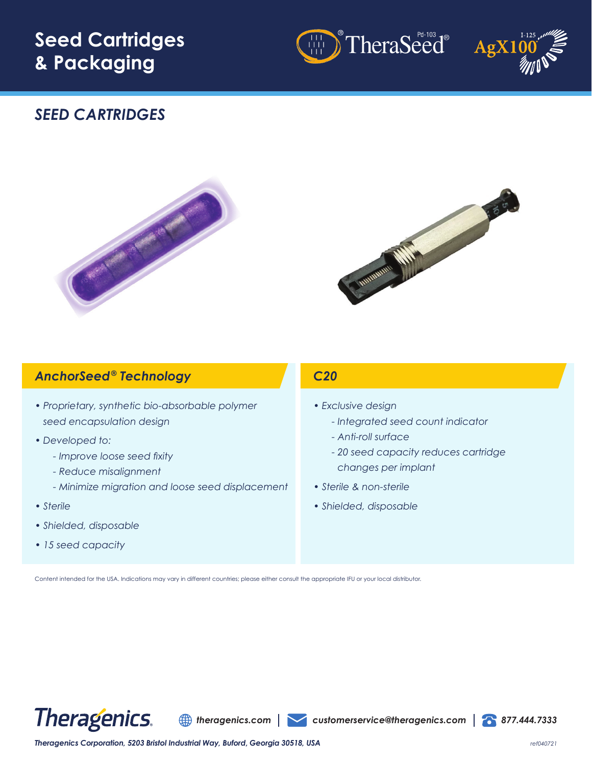# **Seed Cartridges & Packaging**





### *SEED CARTRIDGES*





### *AnchorSeed® Technology*

- *Proprietary, synthetic bio-absorbable polymer seed encapsulation design*
- *Developed to:* 
	- *- Improve loose seed fixity*
	- *Reduce misalignment*
	- *Minimize migration and loose seed displacement*
- *Sterile*
- *Shielded, disposable*
- *15 seed capacity*

#### *C20*

- *Exclusive design*
	- *Integrated seed count indicator*
	- *Anti-roll surface*
	- *20 seed capacity reduces cartridge changes per implant*
- *Sterile & non-sterile*
- *Shielded, disposable*

Content intended for the USA. Indications may vary in different countries; please either consult the appropriate IFU or your local distributor.



*Theragenics Corporation, 5203 Bristol Industrial Way, Buford***,** *Georgia 30518, USA ref040721*

*theragenics.com customerservice@theragenics.com 877.444.7333*